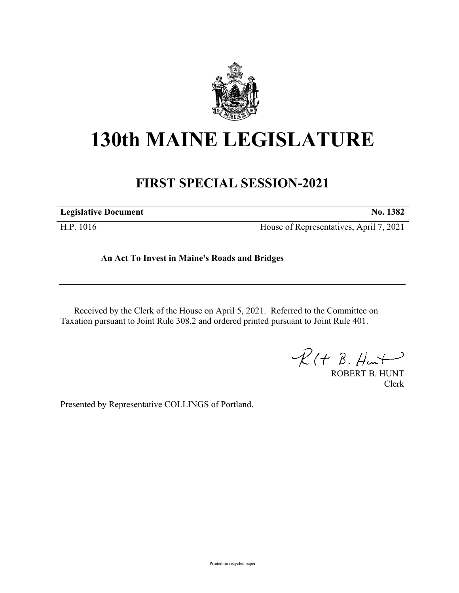

## **130th MAINE LEGISLATURE**

## **FIRST SPECIAL SESSION-2021**

**Legislative Document No. 1382**

H.P. 1016 House of Representatives, April 7, 2021

## **An Act To Invest in Maine's Roads and Bridges**

Received by the Clerk of the House on April 5, 2021. Referred to the Committee on Taxation pursuant to Joint Rule 308.2 and ordered printed pursuant to Joint Rule 401.

 $R(H B. Hmt)$ 

ROBERT B. HUNT Clerk

Presented by Representative COLLINGS of Portland.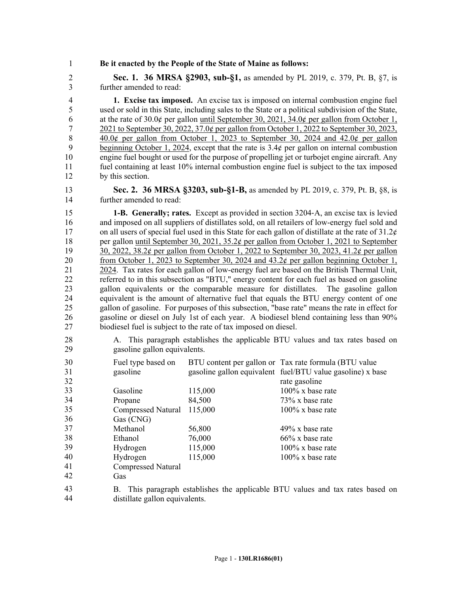1 **Be it enacted by the People of the State of Maine as follows:**

2 **Sec. 1. 36 MRSA §2903, sub-§1,** as amended by PL 2019, c. 379, Pt. B, §7, is 3 further amended to read:

4 **1. Excise tax imposed.** An excise tax is imposed on internal combustion engine fuel 5 used or sold in this State, including sales to the State or a political subdivision of the State, 6 at the rate of 30.0 $\phi$  per gallon until September 30, 2021, 34.0 $\phi$  per gallon from October 1, 7 2021 to September 30, 2022, 37.0¢ per gallon from October 1, 2022 to September 30, 2023, 8  $40.0¢$  per gallon from October 1, 2023 to September 30, 2024 and 42.0¢ per gallon 9 beginning October 1, 2024, except that the rate is 3.4¢ per gallon on internal combustion 10 engine fuel bought or used for the purpose of propelling jet or turbojet engine aircraft. Any 11 fuel containing at least 10% internal combustion engine fuel is subject to the tax imposed 12 by this section.

13 **Sec. 2. 36 MRSA §3203, sub-§1-B,** as amended by PL 2019, c. 379, Pt. B, §8, is 14 further amended to read:

15 **1-B. Generally; rates.** Except as provided in section 3204‑A, an excise tax is levied 16 and imposed on all suppliers of distillates sold, on all retailers of low-energy fuel sold and 17 on all users of special fuel used in this State for each gallon of distillate at the rate of 31.2¢ 18 per gallon until September 30, 2021, 35.2¢ per gallon from October 1, 2021 to September 19 30, 2022, 38.2¢ per gallon from October 1, 2022 to September 30, 2023, 41.2¢ per gallon 20 from October 1, 2023 to September 30, 2024 and 43.2¢ per gallon beginning October 1, 21 2024. Tax rates for each gallon of low-energy fuel are based on the British Thermal Unit, 22 referred to in this subsection as "BTU," energy content for each fuel as based on gasoline 23 gallon equivalents or the comparable measure for distillates. The gasoline gallon 24 equivalent is the amount of alternative fuel that equals the BTU energy content of one 25 gallon of gasoline. For purposes of this subsection, "base rate" means the rate in effect for 26 gasoline or diesel on July 1st of each year. A biodiesel blend containing less than 90% 27 biodiesel fuel is subject to the rate of tax imposed on diesel.

28 A. This paragraph establishes the applicable BTU values and tax rates based on 29 gasoline gallon equivalents.

| 30 | Fuel type based on        |         | BTU content per gallon or Tax rate formula (BTU value)                      |
|----|---------------------------|---------|-----------------------------------------------------------------------------|
| 31 | gasoline                  |         | gasoline gallon equivalent fuel/BTU value gasoline) x base                  |
| 32 |                           |         | rate gasoline                                                               |
| 33 | Gasoline                  | 115,000 | $100\%$ x base rate                                                         |
| 34 | Propane                   | 84,500  | $73\%$ x base rate                                                          |
| 35 | Compressed Natural        | 115,000 | $100\%$ x base rate                                                         |
| 36 | Gas (CNG)                 |         |                                                                             |
| 37 | Methanol                  | 56,800  | $49\%$ x base rate                                                          |
| 38 | Ethanol                   | 76,000  | $66\%$ x base rate                                                          |
| 39 | Hydrogen                  | 115,000 | $100\%$ x base rate                                                         |
| 40 | Hydrogen                  | 115,000 | $100\%$ x base rate                                                         |
| 41 | <b>Compressed Natural</b> |         |                                                                             |
| 42 | Gas                       |         |                                                                             |
| 43 | B.                        |         | This paragraph establishes the applicable BTU values and tax rates based on |

distillate gallon equivalents. 44